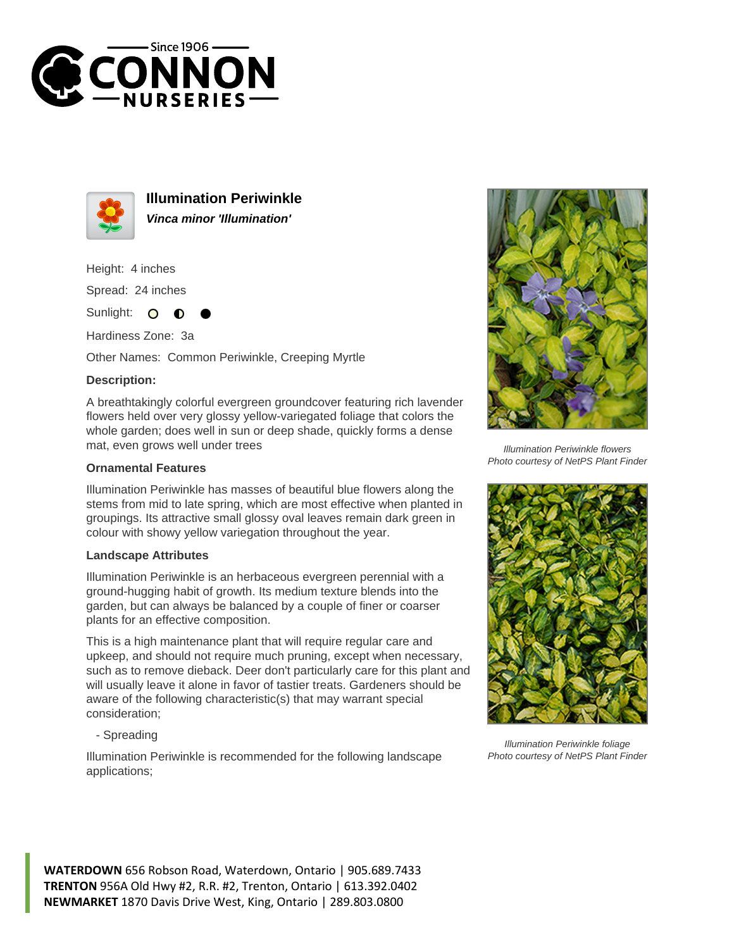



**Illumination Periwinkle Vinca minor 'Illumination'**

Height: 4 inches

Spread: 24 inches

Sunlight:  $\bullet$ 

Hardiness Zone: 3a

Other Names: Common Periwinkle, Creeping Myrtle

## **Description:**

A breathtakingly colorful evergreen groundcover featuring rich lavender flowers held over very glossy yellow-variegated foliage that colors the whole garden; does well in sun or deep shade, quickly forms a dense mat, even grows well under trees

## **Ornamental Features**

Illumination Periwinkle has masses of beautiful blue flowers along the stems from mid to late spring, which are most effective when planted in groupings. Its attractive small glossy oval leaves remain dark green in colour with showy yellow variegation throughout the year.

## **Landscape Attributes**

Illumination Periwinkle is an herbaceous evergreen perennial with a ground-hugging habit of growth. Its medium texture blends into the garden, but can always be balanced by a couple of finer or coarser plants for an effective composition.

This is a high maintenance plant that will require regular care and upkeep, and should not require much pruning, except when necessary, such as to remove dieback. Deer don't particularly care for this plant and will usually leave it alone in favor of tastier treats. Gardeners should be aware of the following characteristic(s) that may warrant special consideration;

- Spreading

Illumination Periwinkle is recommended for the following landscape applications;



Illumination Periwinkle flowers Photo courtesy of NetPS Plant Finder



Illumination Periwinkle foliage Photo courtesy of NetPS Plant Finder

**WATERDOWN** 656 Robson Road, Waterdown, Ontario | 905.689.7433 **TRENTON** 956A Old Hwy #2, R.R. #2, Trenton, Ontario | 613.392.0402 **NEWMARKET** 1870 Davis Drive West, King, Ontario | 289.803.0800